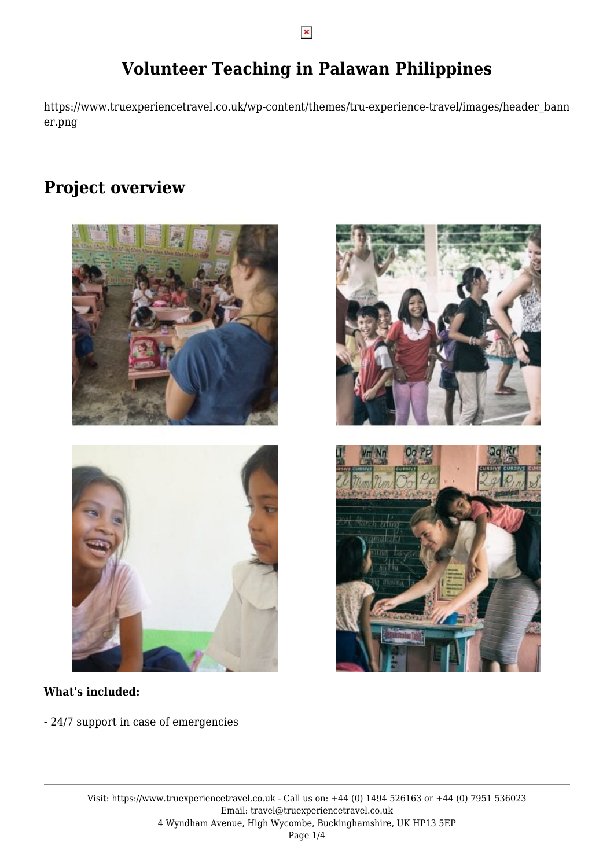## **Volunteer Teaching in Palawan Philippines**

https://www.truexperiencetravel.co.uk/wp-content/themes/tru-experience-travel/images/header\_bann er.png

## **Project overview**





#### **What's included:**

- 24/7 support in case of emergencies

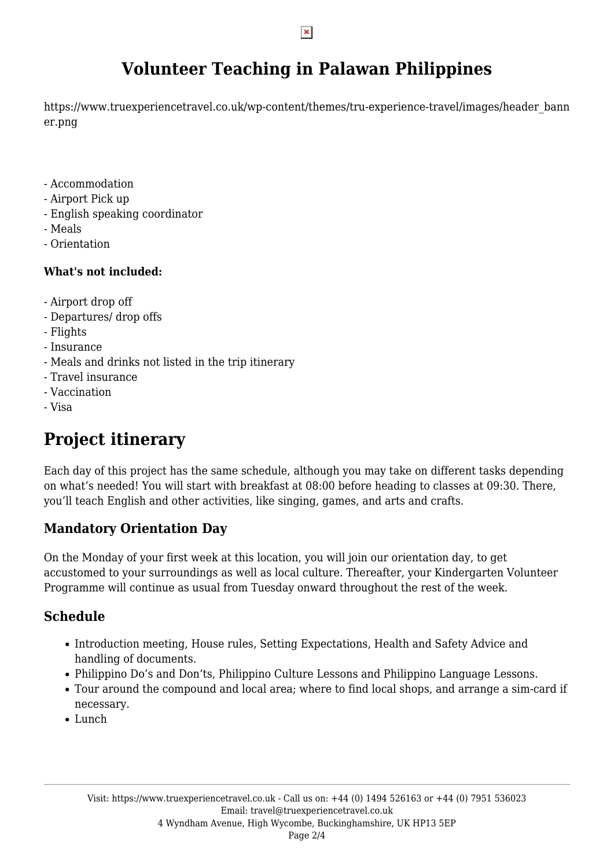## **Volunteer Teaching in Palawan Philippines**

https://www.truexperiencetravel.co.uk/wp-content/themes/tru-experience-travel/images/header\_bann er.png

- Accommodation
- Airport Pick up
- English speaking coordinator
- Meals
- Orientation

### **What's not included:**

- Airport drop off
- Departures/ drop offs
- Flights
- Insurance
- Meals and drinks not listed in the trip itinerary
- Travel insurance
- Vaccination
- Visa

# **Project itinerary**

Each day of this project has the same schedule, although you may take on different tasks depending on what's needed! You will start with breakfast at 08:00 before heading to classes at 09:30. There, you'll teach English and other activities, like singing, games, and arts and crafts.

## **Mandatory Orientation Day**

On the Monday of your first week at this location, you will join our orientation day, to get accustomed to your surroundings as well as local culture. Thereafter, your Kindergarten Volunteer Programme will continue as usual from Tuesday onward throughout the rest of the week.

## **Schedule**

- Introduction meeting, House rules, Setting Expectations, Health and Safety Advice and handling of documents.
- Philippino Do's and Don'ts, Philippino Culture Lessons and Philippino Language Lessons.
- Tour around the compound and local area; where to find local shops, and arrange a sim-card if necessary.
- Lunch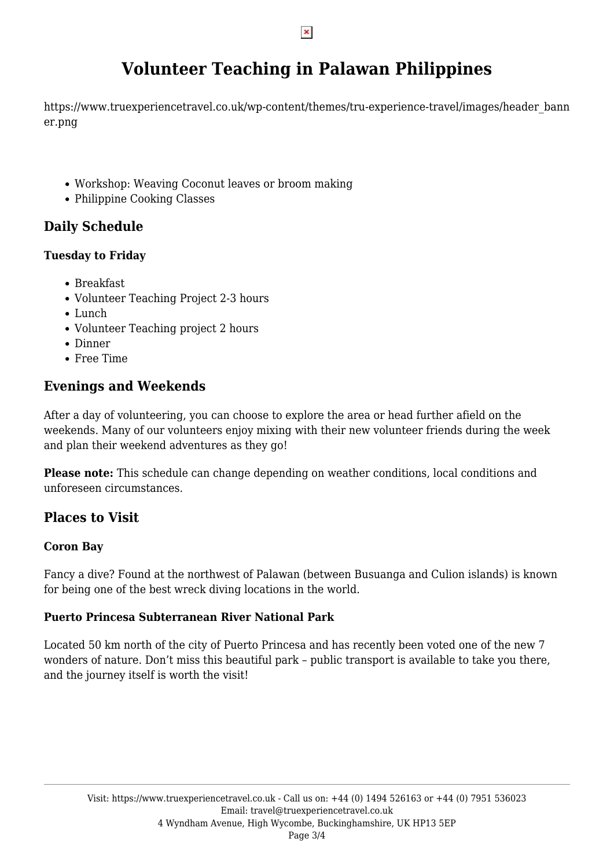## **Volunteer Teaching in Palawan Philippines**

https://www.truexperiencetravel.co.uk/wp-content/themes/tru-experience-travel/images/header\_bann er.png

- Workshop: Weaving Coconut leaves or broom making
- Philippine Cooking Classes

## **Daily Schedule**

#### **Tuesday to Friday**

- Breakfast
- Volunteer Teaching Project 2-3 hours
- Lunch
- Volunteer Teaching project 2 hours
- Dinner
- Free Time

### **Evenings and Weekends**

After a day of volunteering, you can choose to explore the area or head further afield on the weekends. Many of our volunteers enjoy mixing with their new volunteer friends during the week and plan their weekend adventures as they go!

**Please note:** This schedule can change depending on weather conditions, local conditions and unforeseen circumstances.

### **Places to Visit**

#### **Coron Bay**

Fancy a dive? Found at the northwest of Palawan (between Busuanga and Culion islands) is known for being one of the best wreck diving locations in the world.

#### **Puerto Princesa Subterranean River National Park**

Located 50 km north of the city of Puerto Princesa and has recently been voted one of the new 7 wonders of nature. Don't miss this beautiful park – public transport is available to take you there, and the journey itself is worth the visit!